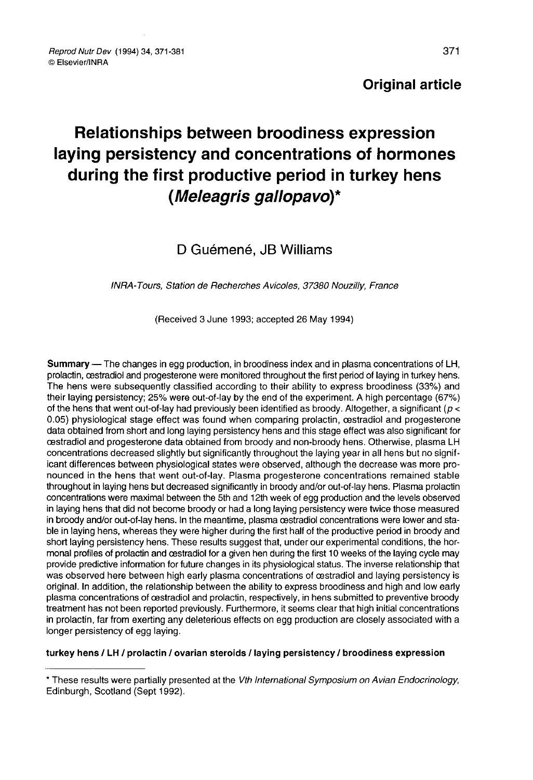# Relationships between broodiness expression laying persistency and concentrations of hormones during the first productive period in turkey hens (Meleagris gallopavo)\*

# D Guémené, JB Williams

## INRA-Tours, Station de Recherches Avicoles, 37380 Nouzilly, France

(Received 3 June 1993; accepted 26 May 1994)

Summary ― The changes in egg production, in broodiness index and in plasma concentrations of LH, prolactin, cestradiol and progesterone were monitored throughout the first period of laying in turkey hens. The hens were subsequently classified according to their ability to express broodiness (33%) and their laying persistency; 25% were out-of-lay by the end of the experiment. A high percentage (67%) of the hens that went out-of-lay had previously been identified as broody. Altogether, a significant ( $p <$ 0.05) physiological stage effect was found when comparing prolactin, cestradiol and progesterone data obtained from short and long laying persistency hens and this stage effect was also significant for oestradiol and progesterone data obtained from broody and non-broody hens. Otherwise, plasma LH concentrations decreased slightly but significantly throughout the laying year in all hens but no significant differences between physiological states were observed, although the decrease was more pronounced in the hens that went out-of-lay. Plasma progesterone concentrations remained stable throughout in laying hens but decreased significantly in broody and/or out-of-lay hens. Plasma prolactin concentrations were maximal between the 5th and 12th week of egg production and the levels observed in laying hens that did not become broody or had a long laying persistency were twice those measured in broody and/or out-of-lay hens. In the meantime, plasma oestradiol concentrations were lower and stable in laying hens, whereas they were higher during the first half of the productive period in broody and short laying persistency hens. These results suggest that, under our experimental conditions, the hormonal profiles of prolactin and cestradiol for a given hen during the first 10 weeks of the laying cycle may provide predictive information for future changes in its physiological status. The inverse relationship that was observed here between high early plasma concentrations of cestradiol and laying persistency is original. In addition, the relationship between the ability to express broodiness and high and low early plasma concentrations of cestradiol and prolactin, respectively, in hens submitted to preventive broody treatment has not been reported previously. Furthermore, it seems clear that high initial concentrations in prolactin, far from exerting any deleterious effects on egg production are closely associated with a longer persistency of egg laying.

#### turkey hens / LH / prolactin / ovarian steroids / laying persistency / broodiness expression

<sup>\*</sup> These results were partially presented at the Vth International Symposium on Avian Endocrinology, Edinburgh, Scotland (Sept 1992).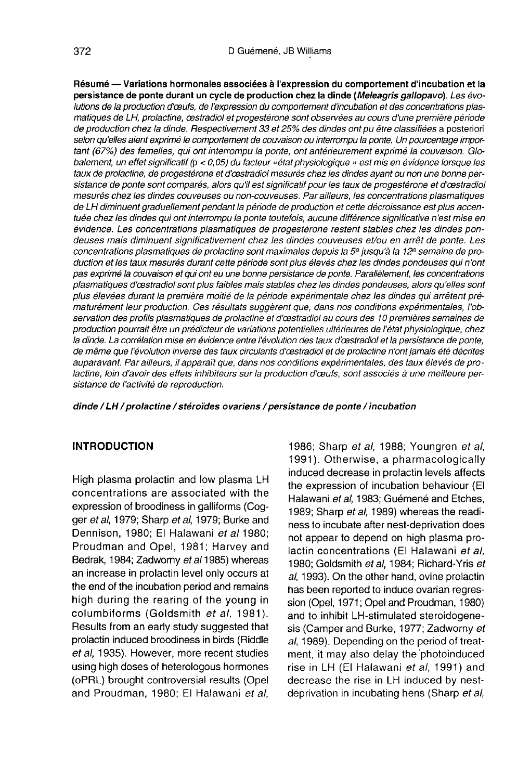Résumé ― Variations hormonales associées à l'expression du comportement d'incubation et la persistance de ponte durant un cycle de production chez la dinde (Meleagris gallopavo). Les évolutions de la production d'ceufs, de l'expression du comportement d'incubation et des concentrations plasmatiques de LH, prolactine, œstradiol et progestérone sont observées au cours d'une première période de production chez la dinde. Respectivement 33 et 25% des dindes ont pu être classifiées a posteriori selon qu'elles aient exprimé le comportement de couvaison ou interrompu la ponte. Un pourcentage impor tant (67%) des femelles, qui ont interrompu la ponte, ont antérieurement exprimé la couvaison. Globalement, un effet significatif (p < 0, 05) du facteur «état physiologique » est mis en évidence lorsque les taux de prolactine, de progestérone et d'castradiol mesurés chez les dindes ayant ou non une bonne persistance de ponte sont comparés, alors qu'il est significatif pour les taux de progestérone et d'œstradiol mesurés chez les dindes couveuses ou non-couveuses. Par ailleurs, les concentrations plasmatiques de LH diminuent graduellement pendant la période de production et cette décroissance est plus accentuée chez les dindes qui ont interrompu la ponte toutefois, aucune différence significative n'est mise en évidence. Les concentrations plasmatiques de progestérone restent stables chez les dindes pondeuses mais diminuent significativement chez les dindes couveuses et/ou en arrêt de ponte. Les concentrations plasmatiques de prolactine sont maximales depuis la 5<sup>e</sup> jusqu'à la 12<sup>e</sup> semaine de production et les taux mesurés durant cette période sont plus élevés chez les dindes pondeuses qui n'ont pas exprimé la couvaison et qui ont eu une bonne persistance de ponte. Parallèlement, les concentrations plasmatiques d'œstradiol sont plus faibles mais stables chez les dindes pondeuses, alors qu'elles sont plus élevées durant la première moitié de la période expérimentale chez les dindes qui arrêtent prématurément leur production. Ces résultats suggèrent que, dans nos conditions expérimentales, l'observation des profils plasmatiques de prolactine et d'œstradiol au cours des 10 premières semaines de production pourrait être un prédicteur de variations potentielles ultérieures de l'état physiologique, chez la dinde. La corrélation mise en évidence entre l'évolution des taux d'œstradiol et la persistance de ponte, de même que l'évolution inverse des taux circulants d'cestradiol et de prolactine n'ont jamais été décrites auparavant. Par ailleurs, il apparaît que, dans nos conditions expérimentales, des taux élevés de prolactine, loin d'avoir des effets inhibiteurs sur la production d'caufs, sont associés à une meilleure persistance de l'activité de reproduction.

dinde / LH / prolactine / stéroïdes ovariens / persistance de ponte / incubation

# INTRODUCTION

High plasma prolactin and low plasma LH concentrations are associated with the expression of broodiness in galliforms (Cogger et al, 1979; Sharp et al, 1979; Burke and Dennison, 1980; El Halawani et al 1980; Proudman and Opel, 1981; Harvey and Bedrak, 1984; Zadwomy et al 1985) whereas an increase in prolactin level only occurs at the end of the incubation period and remains high during the rearing of the young in columbiforms (Goldsmith et al, 1981). Results from an early study suggested that prolactin induced broodiness in birds (Riddle et al, 1935). However, more recent studies using high doses of heterologous hormones *et al, 1935*). However, more recent studies<br>using high doses of heterologous hormones<br>(oPRL) brought controversial results (Opel<br>and Proudman. 1980: El Halawani *et al.* and Proudman, 1980; El Halawani et al,

1986; Sharp et al, 1988; Youngren et al, 1991). Otherwise, a pharmacologically induced decrease in prolactin levels affects the expression of incubation behaviour (El Halawani et al, 1983; Guémené and Etches, 1989; Sharp et al, 1989) whereas the readiness to incubate after nest-deprivation does not appear to depend on high plasma prolactin concentrations (El Halawani et al, 1980; Goldsmith et al, 1984; Richard-Yris et al, 1993). On the other hand, ovine prolactin has been reported to induce ovarian regression (Opel, 1971; Opel and Proudman, 1980) and to inhibit LH-stimulated steroidogenesis (Camper and Burke, 1977; Zadworny et al, 1989). Depending on the period of treatment, it may also delay the photoinduced rise in LH (El Halawani et al, 1991) and decrease the rise in LH induced by nestdeprivation in incubating hens (Sharp et al,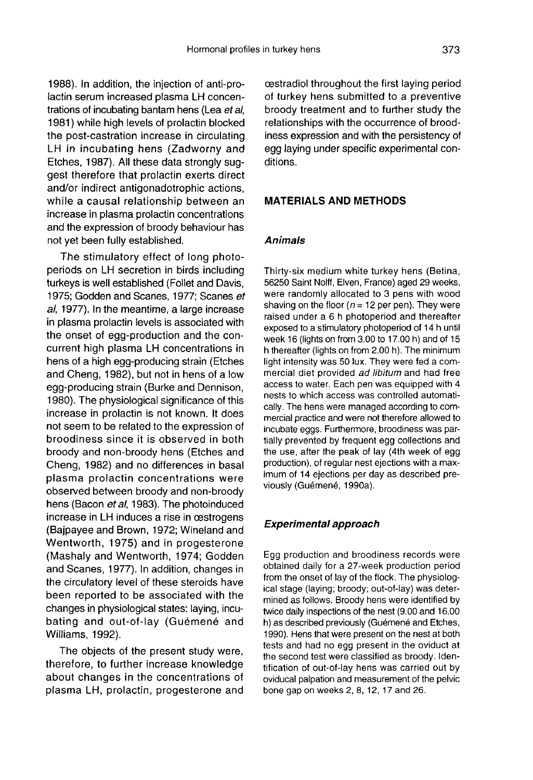1988). In addition, the injection of anti-prolactin serum increased plasma LH concentrations of incubating bantam hens (Lea et al, 1981) while high levels of prolactin blocked the post-castration increase in circulating LH in incubating hens (Zadworny and Etches, 1987). All these data strongly suggest therefore that prolactin exerts direct and/or indirect antigonadotrophic actions, while a causal relationship between an increase in plasma prolactin concentrations and the expression of broody behaviour has not yet been fully established.

The stimulatory effect of long photoperiods on LH secretion in birds including turkeys is well established (Follet and Davis, 1975; Godden and Scanes, 1977; Scanes et a/, 1977). In the meantime, a large increase in plasma prolactin levels is associated with the onset of egg-production and the concurrent high plasma LH concentrations in hens of a high egg-producing strain (Etches and Cheng, 1982), but not in hens of a low egg-producing strain (Burke and Dennison, 1980). The physiological significance of this increase in prolactin is not known. It does not seem to be related to the expression of broodiness since it is observed in both broody and non-broody hens (Etches and Cheng, 1982) and no differences in basal plasma prolactin concentrations were observed between broody and non-broody hens (Bacon et al, 1983). The photoinduced increase in LH induces a rise in œstrogens (Bajpayee and Brown, 1972; Wineland and Wentworth, 1975) and in progesterone (Mashaly and Wentworth, 1974; Godden and Scanes, 1977). In addition, changes in the circulatory level of these steroids have been reported to be associated with the changes in physiological states: laying, incubating and out-of-lay (Guémené and Williams, 1992).

The objects of the present study were, therefore, to further increase knowledge about changes in the concentrations of plasma LH, prolactin, progesterone and oestradiol throughout the first laying period of turkey hens submitted to a preventive broody treatment and to further study the relationships with the occurrence of broodiness expression and with the persistency of egg laying under specific experimental conditions.

#### MATERIALS AND METHODS

# Animals

Thirty-six medium white turkey hens (Betina, 56250 Saint Noiff, Elven, France) aged 29 weeks, were randomly allocated to 3 pens with wood shaving on the floor ( $n = 12$  per pen). They were raised under a 6 h photoperiod and thereafter exposed to a stimulatory photoperiod of 14 h until week 16 (lights on from 3.00 to 17.00 h) and of 15 h thereafter (lights on from 2.00 h). The minimum light intensity was 50 lux. They were fed a commercial diet provided ad libitum and had free access to water. Each pen was equipped with 4 nests to which access was controlled automatically. The hens were managed according to commercial practice and were not therefore allowed to incubate eggs. Furthermore, broodiness was partially prevented by frequent egg collections and the use, after the peak of lay (4th week of egg production), of regular nest ejections with a maximum of 14 ejections per day as described previously (Guémené, 1990a).

#### Experimental approach

Egg production and broodiness records were obtained daily for a 27-week production period from the onset of lay of the flock. The physiological stage (laying; broody; out-of-lay) was determined as follows. Broody hens were identified by twice daily inspections of the nest (9.00 and 16.00 h) as described previously (Guémené and Etches, 1990). Hens that were present on the nest at both tests and had no egg present in the oviduct at the second test were classified as broody. Identification of out-of-lay hens was carried out by oviducal palpation and measurement of the pelvic bone gap on weeks 2, 8, 12, 17 and 26.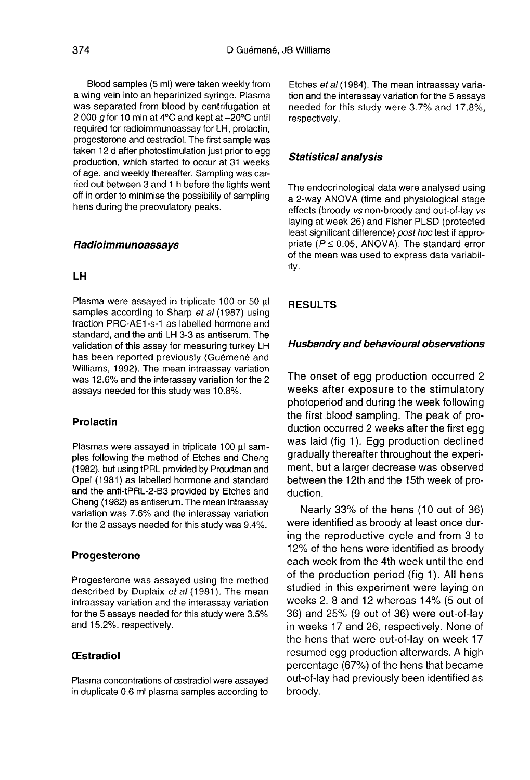Blood samples (5 ml) were taken weekly from a wing vein into an heparinized syringe. Plasma was separated from blood by centrifugation at 2 000 g for 10 min at 4 $\rm ^{\circ}C$  and kept at  $\rm -20^{\circ}C$  until required for radioimmunoassay for LH, prolactin, progesterone and cestradiol. The first sample was taken 12 d after photostimulation just prior to egg production, which started to occur at 31 weeks of age, and weekly thereafter. Sampling was carried out between 3 and 1 h before the lights went off in order to minimise the possibility of sampling hens during the preovulatory peaks.

#### Radioimmunoassays

# LH

Plasma were assayed in triplicate 100 or 50 ul samples according to Sharp et al (1987) using fraction PRC-AE1-s-1 as labelled hormone and standard, and the anti LH 3-3 as antiserum. The validation of this assay for measuring turkey LH has been reported previously (Guémené and Williams, 1992). The mean intraassay variation was 12.6% and the interassay variation for the 2 assays needed for this study was 10.8%.

#### Prolactin

Plasmas were assayed in triplicate 100 ul samples following the method of Etches and Cheng (1982), but using tPRL provided by Proudman and Opel (1981) as labelled hormone and standard and the anti-tPRL-2-B3 provided by Etches and Cheng (1982) as antiserum. The mean intraassay variation was 7.6% and the interassay variation for the 2 assays needed for this study was 9.4%.

#### Progesterone

Progesterone was assayed using the method described by Duplaix et al (1981). The mean intraassay variation and the interassay variation for the 5 assays needed for this study were 3.5% and 15.2%, respectively.

# **CEstradiol**

Plasma concentrations of oestradiol were assayed in duplicate 0.6 ml plasma samples according to Etches et al (1984). The mean intraassay variation and the interassay variation for the 5 assays needed for this study were 3.7% and 17.8%, respectively.

### Statistical analysis

The endocrinological data were analysed using a 2-way ANOVA (time and physiological stage effects (broody vs non-broody and out-of-lay vs laying at week 26) and Fisher PLSD (protected least significant difference) post hoc test if appropriate ( $P \le 0.05$ , ANOVA). The standard error of the mean was used to express data variability.

# RESULTS

#### Husbandry and behavioural observations

The onset of egg production occurred 2 weeks after exposure to the stimulatory photoperiod and during the week following the first blood sampling. The peak of production occurred 2 weeks after the first egg was laid (fig 1). Egg production declined gradually thereafter throughout the experiment, but a larger decrease was observed between the 12th and the 15th week of production.

Nearly 33% of the hens (10 out of 36) were identified as broody at least once during the reproductive cycle and from 3 to 12% of the hens were identified as broody each week from the 4th week until the end of the production period (fig 1). All hens studied in this experiment were laying on weeks 2, 8 and 12 whereas 14% (5 out of 36) and 25% (9 out of 36) were out-of-lay in weeks 17 and 26, respectively. None of the hens that were out-of-lay on week 17 resumed egg production afterwards. A high percentage (67%) of the hens that became out-of-lay had previously been identified as broody.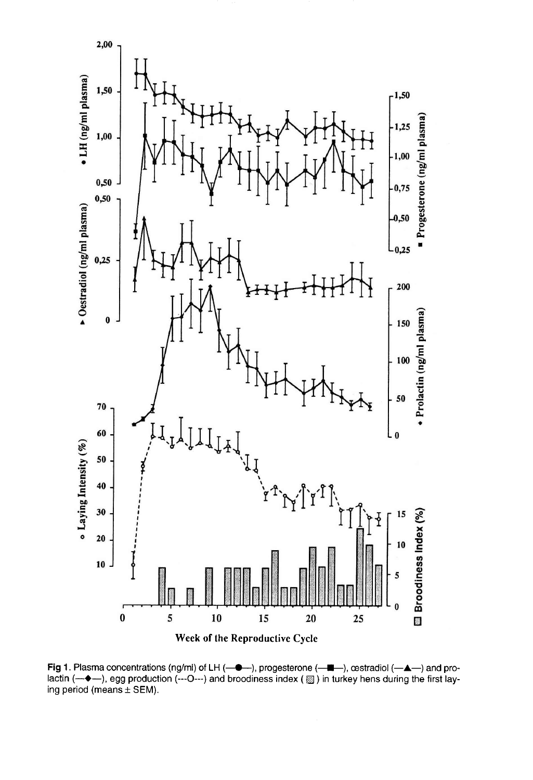

Fig 1. Plasma concentrations (ng/ml) of LH (-0-), progesterone (-0-), cestradiol (-4-) and prolactin (-++), egg production (---O---) and broodiness index () in turkey hens during the first laying period (means  $\pm$  SEM).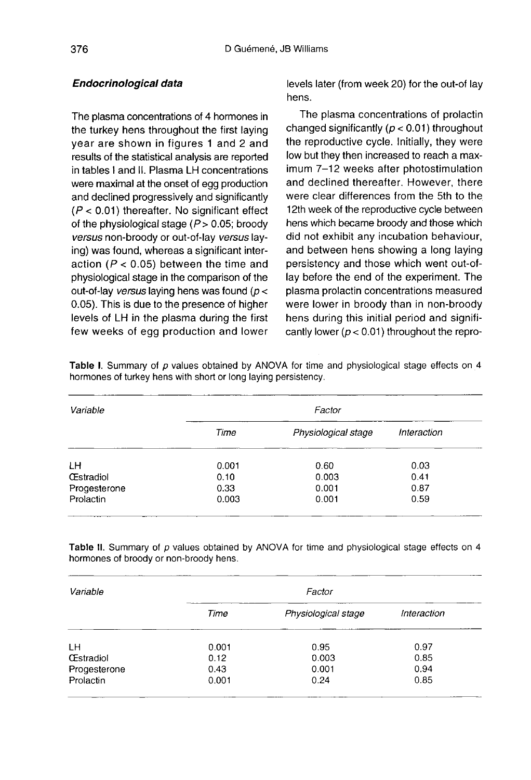# Endocrinological data

The plasma concentrations of 4 hormones in the turkey hens throughout the first laying year are shown in figures 1 and 2 and results of the statistical analysis are reported in tables I and II. Plasma LH concentrations were maximal at the onset of egg production and declined progressively and significantly  $(P < 0.01)$  thereafter. No significant effect of the physiological stage  $(P> 0.05$ ; broody versus non-broody or out-of-lay versus laying) was found, whereas a significant interaction ( $P < 0.05$ ) between the time and physiological stage in the comparison of the out-of-lay versus laying hens was found ( $p <$ 0.05). This is due to the presence of higher levels of LH in the plasma during the first few weeks of egg production and lower

levels later (from week 20) for the out-of lay hens.

The plasma concentrations of prolactin changed significantly ( $p < 0.01$ ) throughout the reproductive cycle. Initially, they were low but they then increased to reach a maximum 7-12 weeks after photostimulation and declined thereafter. However, there were clear differences from the 5th to the 12th week of the reproductive cycle between hens which became broody and those which did not exhibit any incubation behaviour, and between hens showing a long laying persistency and those which went out-oflay before the end of the experiment. The plasma prolactin concentrations measured were lower in broody than in non-broody hens during this initial period and significantly lower ( $p < 0.01$ ) throughout the repro-

| Variable         | Factor |                     |             |
|------------------|--------|---------------------|-------------|
|                  | Time   | Physiological stage | Interaction |
| LН               | 0.001  | 0.60                | 0.03        |
| <b>Œstradiol</b> | 0.10   | 0.003               | 0.41        |
| Progesterone     | 0.33   | 0.001               | 0.87        |
| Prolactin        | 0.003  | 0.001               | 0.59        |

Table I. Summary of p values obtained by ANOVA for time and physiological stage effects on 4 hormones of turkey hens with short or long laying persistency.

Table II. Summary of p values obtained by ANOVA for time and physiological stage effects on 4 hormones of broody or non-broody hens.

| Variable         | Factor |                     |             |  |
|------------------|--------|---------------------|-------------|--|
|                  | Time   | Physiological stage | Interaction |  |
| <b>LH</b>        | 0.001  | 0.95                | 0.97        |  |
| <b>Œstradiol</b> | 0.12   | 0.003               | 0.85        |  |
| Progesterone     | 0.43   | 0.001               | 0.94        |  |
| Prolactin        | 0.001  | 0.24                | 0.85        |  |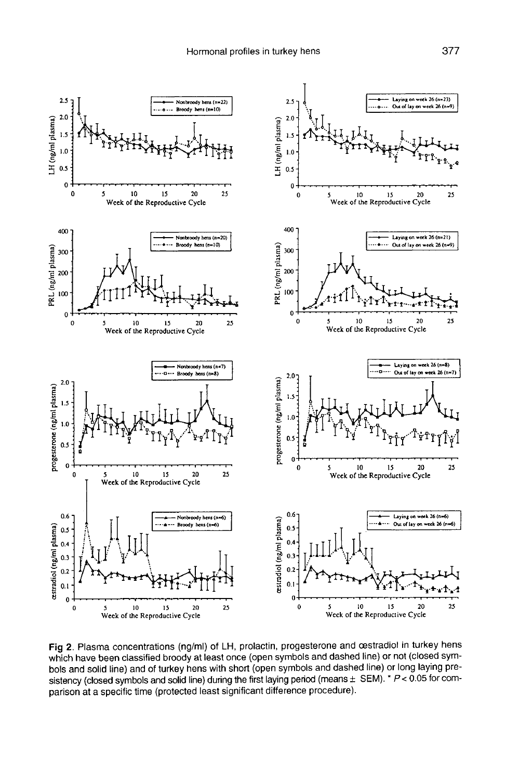

Fig 2. Plasma concentrations (ng/ml) of LH, prolactin, progesterone and cestradiol in turkey hens which have been classified broody at least once (open symbols and dashed line) or not (closed symbols and solid line) and of turkey hens with short (open symbols and dashed line) or long laying presistency (closed symbols and solid line) during the first laying period (means  $\pm$  SEM). \*  $P < 0.05$  for comparison at a specific time (protected least significant difference procedure).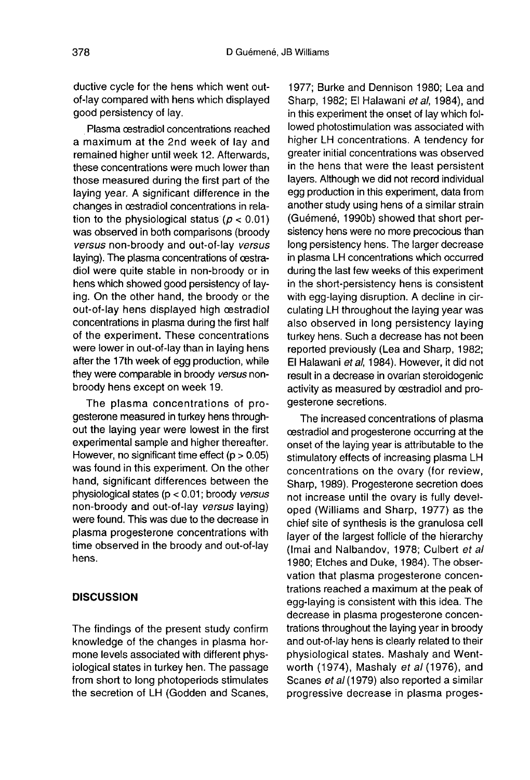ductive cycle for the hens which went outof-lay compared with hens which displayed good persistency of lay.

Plasma oestradiol concentrations reached a maximum at the 2nd week of lay and remained higher until week 12. Afterwards, these concentrations were much lower than those measured during the first part of the laying year. A significant difference in the changes in cestradiol concentrations in relation to the physiological status ( $p < 0.01$ ) was observed in both comparisons (broody versus non-broody and out-of-lay versus laying). The plasma concentrations of oestradiol were quite stable in non-broody or in hens which showed good persistency of laying. On the other hand, the broody or the out-of-lay hens displayed high oestradiol concentrations in plasma during the first half of the experiment. These concentrations were lower in out-of-lay than in laying hens after the 17th week of egg production, while they were comparable in broody versus nonbroody hens except on week 19.

The plasma concentrations of progesterone measured in turkey hens throughout the laying year were lowest in the first experimental sample and higher thereafter. However, no significant time effect  $(p > 0.05)$ was found in this experiment. On the other hand, significant differences between the physiological states (p < 0.01; broody versus non-broody and out-of-lay versus laying) were found. This was due to the decrease in plasma progesterone concentrations with time observed in the broody and out-of-lay hens.

# **DISCUSSION**

The findings of the present study confirm knowledge of the changes in plasma hormone levels associated with different physiological states in turkey hen. The passage from short to long photoperiods stimulates the secretion of LH (Godden and Scanes,

1977; Burke and Dennison 1980; Lea and Sharp, 1982; El Halawani et al, 1984), and in this experiment the onset of lay which followed photostimulation was associated with higher LH concentrations. A tendency for greater initial concentrations was observed in the hens that were the least persistent layers. Although we did not record individual egg production in this experiment, data from another study using hens of a similar strain (Gu6men6, 1990b) showed that short persistency hens were no more precocious than long persistency hens. The larger decrease in plasma LH concentrations which occurred during the last few weeks of this experiment in the short-persistency hens is consistent with egg-laying disruption. A decline in circulating LH throughout the laying year was also observed in long persistency laying turkey hens. Such a decrease has not been reported previously (Lea and Sharp, 1982; El Halawani et al, 1984). However, it did not result in a decrease in ovarian steroidogenic activity as measured by oestradiol and progesterone secretions.

The increased concentrations of plasma cestradiol and progesterone occurring at the onset of the laying year is attributable to the stimulatory effects of increasing plasma LH concentrations on the ovary (for review, Sharp, 1989). Progesterone secretion does not increase until the ovary is fully developed (Williams and Sharp, 1977) as the chief site of synthesis is the granulosa cell layer of the largest follicle of the hierarchy (Imai and Nalbandov, 1978; Culbert et al 1980; Etches and Duke, 1984). The observation that plasma progesterone concentrations reached a maximum at the peak of egg-laying is consistent with this idea. The decrease in plasma progesterone concentrations throughout the laying year in broody and out-of-lay hens is clearly related to their physiological states. Mashaly and Wentworth (1974), Mashaly et al (1976), and Scanes et al (1979) also reported a similar progressive decrease in plasma proges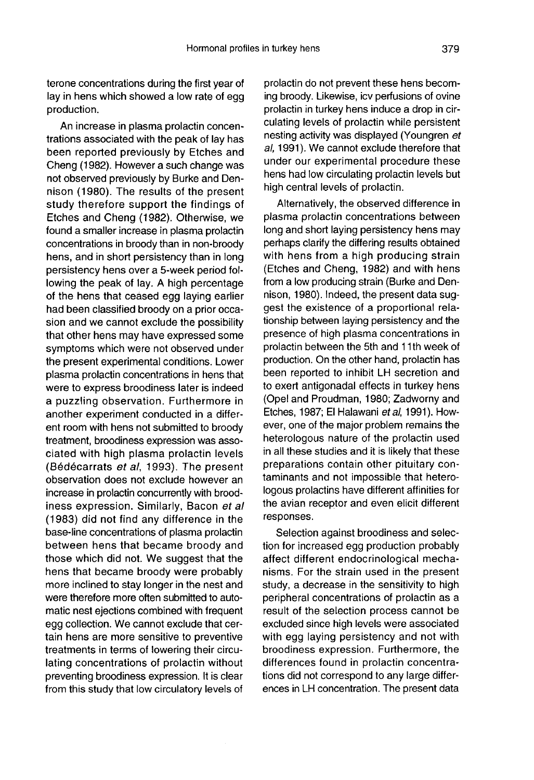terone concentrations during the first year of lay in hens which showed a low rate of egg production.

An increase in plasma prolactin concentrations associated with the peak of lay has been reported previously by Etches and Cheng (1982). However a such change was not observed previously by Burke and Dennison (1980). The results of the present study therefore support the findings of Etches and Cheng (1982). Otherwise, we found a smaller increase in plasma prolactin concentrations in broody than in non-broody hens, and in short persistency than in long persistency hens over a 5-week period following the peak of lay. A high percentage of the hens that ceased egg laying earlier had been classified broody on a prior occasion and we cannot exclude the possibility that other hens may have expressed some symptoms which were not observed under the present experimental conditions. Lower plasma prolactin concentrations in hens that were to express broodiness later is indeed a puzzling observation. Furthermore in another experiment conducted in a different room with hens not submitted to broody treatment, broodiness expression was associated with high plasma prolactin levels (Bédécarrats et al, 1993). The present observation does not exclude however an increase in prolactin concurrently with broodiness expression. Similarly, Bacon et al (1983) did not find any difference in the base-line concentrations of plasma prolactin between hens that became broody and those which did not. We suggest that the hens that became broody were probably more inclined to stay longer in the nest and were therefore more often submitted to automatic nest ejections combined with frequent egg collection. We cannot exclude that certain hens are more sensitive to preventive treatments in terms of lowering their circulating concentrations of prolactin without preventing broodiness expression. It is clear from this study that low circulatory levels of

prolactin do not prevent these hens becoming broody. Likewise, icv perfusions of ovine prolactin in turkey hens induce a drop in circulating levels of prolactin while persistent nesting activity was displayed (Youngren et al, 1991). We cannot exclude therefore that under our experimental procedure these hens had low circulating prolactin levels but high central levels of prolactin.

Alternatively, the observed difference in plasma prolactin concentrations between long and short laying persistency hens may perhaps clarify the differing results obtained with hens from a high producing strain (Etches and Cheng, 1982) and with hens from a low producing strain (Burke and Dennison, 1980). Indeed, the present data suggest the existence of a proportional relationship between laying persistency and the presence of high plasma concentrations in prolactin between the 5th and 11 th week of production. On the other hand, prolactin has been reported to inhibit LH secretion and to exert antigonadal effects in turkey hens (Opel and Proudman, 1980; Zadworny and Etches, 1987; El Halawani et al, 1991). However, one of the major problem remains the heterologous nature of the prolactin used in all these studies and it is likely that these preparations contain other pituitary contaminants and not impossible that heterologous prolactins have different affinities for the avian receptor and even elicit different responses.

Selection against broodiness and selection for increased egg production probably affect different endocrinological mechanisms. For the strain used in the present study, a decrease in the sensitivity to high peripheral concentrations of prolactin as a result of the selection process cannot be excluded since high levels were associated with egg laying persistency and not with broodiness expression. Furthermore, the differences found in prolactin concentrations did not correspond to any large differences in LH concentration. The present data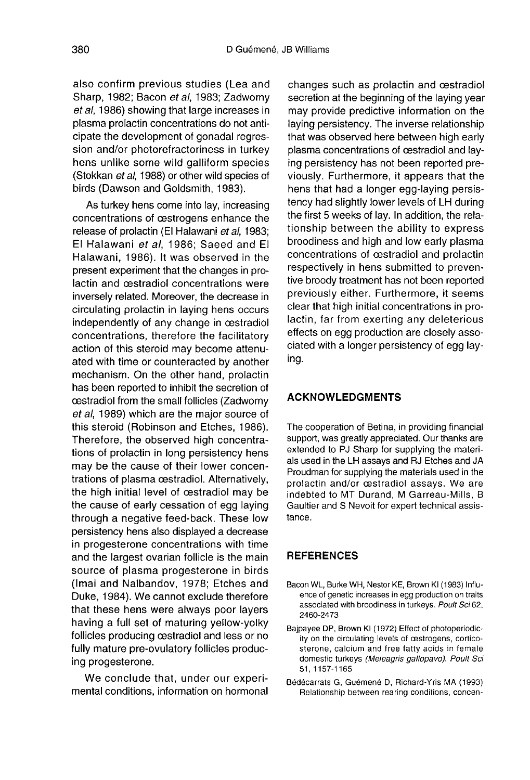also confirm previous studies (Lea and Sharp, 1982; Bacon et al, 1983; Zadworny et al, 1986) showing that large increases in plasma prolactin concentrations do not anticipate the development of gonadal regression and/or photorefractoriness in turkey hens unlike some wild galliform species (Stokkan et al, 1988) or other wild species of birds (Dawson and Goldsmith, 1983).

As turkey hens come into lay, increasing concentrations of oestrogens enhance the release of prolactin (El Halawani et al. 1983; El Halawani et al, 1986; Saeed and El Halawani, 1986). It was observed in the present experiment that the changes in prolactin and cestradiol concentrations were inversely related. Moreover, the decrease in circulating prolactin in laying hens occurs independently of any change in oestradiol concentrations, therefore the facilitatory action of this steroid may become attenuated with time or counteracted by another mechanism. On the other hand, prolactin has been reported to inhibit the secretion of oestradiol from the small follicles (Zadworny et al, 1989) which are the major source of this steroid (Robinson and Etches, 1986). Therefore, the observed high concentrations of prolactin in long persistency hens may be the cause of their lower concentrations of plasma cestradiol. Alternatively, the high initial level of oestradiol may be the cause of early cessation of egg laying through a negative feed-back. These low persistency hens also displayed a decrease in progesterone concentrations with time and the largest ovarian follicle is the main source of plasma progesterone in birds (Imai and Nalbandov, 1978; Etches and Duke, 1984). We cannot exclude therefore that these hens were always poor layers having a full set of maturing yellow-yolky follicles producing oestradiol and less or no fully mature pre-ovulatory follicles producing progesterone.

We conclude that, under our experimental conditions, information on hormonal

changes such as prolactin and oestradiol secretion at the beginning of the laying year may provide predictive information on the laying persistency. The inverse relationship that was observed here between high early plasma concentrations of oestradiol and laying persistency has not been reported previously. Furthermore, it appears that the hens that had a longer egg-laying persistency had slightly lower levels of LH during the first 5 weeks of lay. In addition, the relationship between the ability to express broodiness and high and low early plasma concentrations of oestradiol and prolactin respectively in hens submitted to preventive broody treatment has not been reported previously either. Furthermore, it seems clear that high initial concentrations in prolactin, far from exerting any deleterious effects on egg production are closely associated with a longer persistency of egg laying.

# ACKNOWLEDGMENTS

The cooperation of Betina, in providing financial support, was greatly appreciated. Our thanks are extended to PJ Sharp for supplying the materials used in the LH assays and RJ Etches and JA Proudman for supplying the materials used in the prolactin and/or cestradiol assays. We are indebted to MT Durand, M Garreau-Mills, B Gaultier and S Nevoit for expert technical assistance.

# **REFERENCES**

- Bacon WL, Burke WH, Nestor KE, Brown Ki (1983) Influence of genetic increases in egg production on traits associated with broodiness in turkeys. Poult Sci 62, 2460-2473
- Bajpayee DP, Brown Ki (1972) Effect of photoperiodicity on the circulating levels of cestrogens, corticosterone, calcium and free fatty acids in female domestic turkeys (Meleagris gallopavo). Poult Sci 51, 1157-1165
- Bédécarrats G, Guémené D, Richard-Yris MA (1993) Relationship between rearing conditions, concen-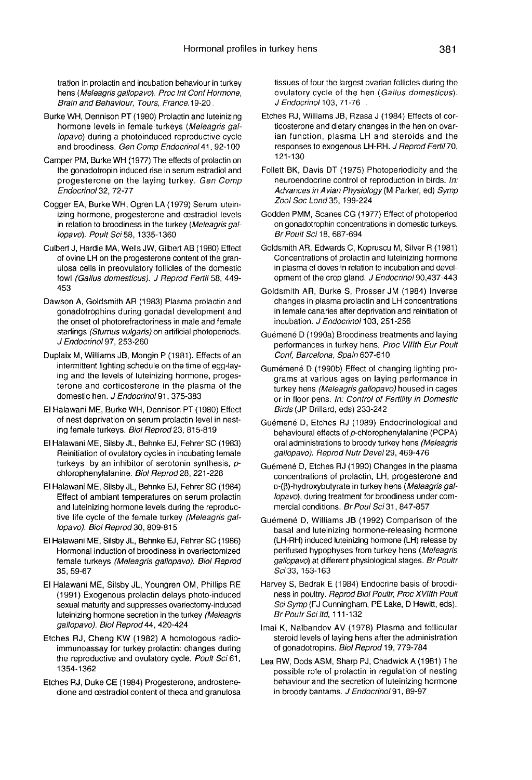tration in prolactin and incubation behaviour in turkey hens (Meleagris gallopavo). Proc Int Conf Hormone, Brain and Behaviour, Tours, France. 19-20

- Burke WH, Dennison PT (1980) Prolactin and luteinizing hormone levels in female turkeys (Meleagris gallopavo) during a photoinduced reproductive cycle and broodiness. Gen Comp Endocrinol 41, 92-100
- Camper PM, Burke WH (1977) The effects of prolactin on the gonadotropin induced rise in serum estradiol and progesterone on the laying turkey. Gen Comp Endocrinol32, 72-77
- Cogger EA, Burke WH, Ogren LA (1979) Serum luteinizing hormone, progesterone and oestradiol levels in relation to broodiness in the turkey (Meleagris gallopavo). Poult Sci 58, 1335-1360
- Culbert J, Hardie MA, Wells JW, Gilbert AB (1980) Effect of ovine LH on the progesterone content of the granulosa cells in preovulatory follicles of the domestic fowl (Gallus domesticus). J Reprod Fertil 58, 449- 453
- Dawson A, Goldsmith AR (1983) Plasma prolactin and gonadotrophins during gonadal development and the onset of photorefractoriness in male and female starlings (Sturnus vulgaris) on artificial photoperiods. J Endocrinol97, 253-260
- Duplaix M, Williams JB, Mongin P (1981). Effects of an intermittent lighting schedule on the time of egg-laying and the levels of luteinizing hormone, progesterone and corticosterone in the plasma of the domestic hen. J Endocrinol 91, 375-383
- El Halawani ME, Burke WH, Dennison PT (1980) Effect of nest deprivation on serum prolactin level in nesting female turkeys. Biol Reprod 23, 815-819
- El Halawani ME, Silsby JL, Behnke EJ, Fehrer SC (1983) Reinitiation of ovulatory cycles in incubating female turkeys by an inhibitor of serotonin synthesis,  $p$ chlorophenylalanine. Biol Reprod28, 221-228
- El Halawani ME, Silsby JL, Behnke EJ, Fehrer SC (1984) Effect of ambiant temperatures on serum prolactin and luteinizing hormone levels during the reproduc tive life cycle of the female turkey (Meleagris gallopavo). Biol Reprod 30, 809-815
- El Halawani ME, Silsby JL, Behnke EJ, Fehrer SC (1986) Hormonal induction of broodiness in ovariectomized female turkeys (Meleagris gallopavo). Biol Reprod 35, 59-67
- El Halawani ME, Silsby JL, Youngren OM, Phillips RE (1991) Exogenous prolactin delays photo-induced sexual maturity and suppresses ovariectomy-induced luteinizing hormone secretion in the turkey (Meleagris gallopavo). Biol Reprod 44, 420-424
- Etches RJ, Cheng KW (1982) A homologous radioimmunoassay for turkey prolactin: changes during the reproductive and ovulatory cycle. Poult Sci 61, 1354-1362
- Etches RJ, Duke CE (1984) Progesterone, androstenedione and oestradiol content of theca and granulosa

tissues of four the largest ovarian follicles during the ovulatory cycle of the hen (Gallus domesticus). J Endocrinol 103, 71-76

- Etches RJ, Williams JB, Rzasa J (1984) Effects of corticosterone and dietary changes in the hen on ovarian function, plasma LH and steroids and the responses to exogenous LH-RH. J Reprod Fertil 70. 121-130
- Follett BK, Davis DT (1975) Photoperiodicity and the neuroendocrine control of reproduction in birds. In: Advances in Avian Physiology (M Parker, ed) Symp Zool Soc Lond 35, 199-224
- Godden PMM, Scanes CG (1977) Effect of photoperiod on gonadotrophin concentrations in domestic turkeys. Br Poult Sci 18, 687-694
- Goldsmith AR, Edwards C, Kopruscu M, Silver R (1981) Concentrations of prolactin and luteinizing hormone in plasma of doves in relation to incubation and development of the crop gland. J Endocrinol 90,437-443
- Goldsmith AR, Burke S, Prosser JM (1984) Inverse changes in plasma prolactin and LH concentrations in female canaries after deprivation and reinitiation of incubation. J Endocrinol 103, 251-256
- Guémené D (1990a) Broodiness treatments and laying performances in turkey hens. Proc VIIIth Eur Poult Conf, Barcelona, Spain 607-610
- Gum6men6 D (1990b) Effect of changing lighting programs at various ages on laying performance in turkey hens (Meleagris gallopavo) housed in cages or in floor pens. In: Control of Fertility in Domestic Birds (JP Brillard, eds) 233-242
- Gu6men6 D, Etches RJ (1989) Endocrinological and behavioural effects of p-chlorophenylaianine (PCPA) oral administrations to broody turkey hens (Meleagris gallopavo). Reprod Nutr Devel 29, 469-476
- Guémené D, Etches RJ (1990) Changes in the plasma concentrations of prolactin, LH, progesterone and o-(p)-hydroxybutyrate in turkey hens (Meleagris gallopavo), during treatment for broodiness under commercial conditions. Br Poul Sci 31, 847-857
- Guémené D, Williams JB (1992) Comparison of the basal and luteinizing hormone-releasing hormone (LH-RH) induced luteinizing hormone (LH) release by perifused hypophyses from turkey hens (Meleagris gallopavo) at different physiological stages. Br Poultr Sci 33, 153-163
- Harvey S, Bedrak E (1984) Endocrine basis of broodiness in poultry. Reprod Biol Poultr, Proc XVllth Poult Sci Symp (FJ Cunningham, PE Lake, D Hewitt, eds). Br Poutr Sci Itd, 111-132
- Imai K, Nalbandov AV (1978) Plasma and follicular steroid levels of laying hens after the administration of gonadotropins. Biol Reprod 19, 779-784
- Lea RW, Dods ASM, Sharp PJ, Chadwick A (1981) The possible role of prolactin in regulation of nesting behaviour and the secretion of luteinizing hormone in broody bantams. J Endocrinol 91, 89-97